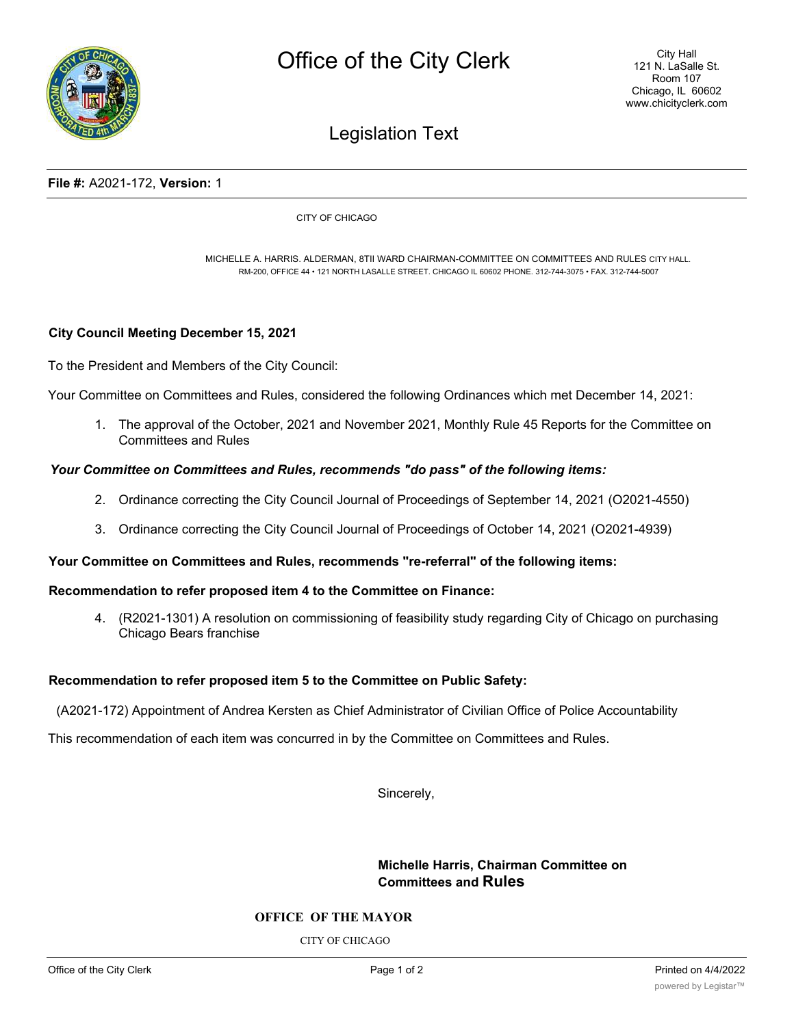

# Legislation Text

### **File #:** A2021-172, **Version:** 1

CITY OF CHICAGO

MICHELLE A. HARRIS. ALDERMAN, 8TII WARD CHAIRMAN-COMMITTEE ON COMMITTEES AND RULES CITY HALL. RM-200, OFFICE 44 • 121 NORTH LASALLE STREET. CHICAGO IL 60602 PHONE. 312-744-3075 • FAX. 312-744-5007

# **City Council Meeting December 15, 2021**

To the President and Members of the City Council:

Your Committee on Committees and Rules, considered the following Ordinances which met December 14, 2021:

1. The approval of the October, 2021 and November 2021, Monthly Rule 45 Reports for the Committee on Committees and Rules

### *Your Committee on Committees and Rules, recommends "do pass" of the following items:*

- 2. Ordinance correcting the City Council Journal of Proceedings of September 14, 2021 (O2021-4550)
- 3. Ordinance correcting the City Council Journal of Proceedings of October 14, 2021 (O2021-4939)

# **Your Committee on Committees and Rules, recommends "re-referral" of the following items:**

#### **Recommendation to refer proposed item 4 to the Committee on Finance:**

4. (R2021-1301) A resolution on commissioning of feasibility study regarding City of Chicago on purchasing Chicago Bears franchise

#### **Recommendation to refer proposed item 5 to the Committee on Public Safety:**

(A2021-172) Appointment of Andrea Kersten as Chief Administrator of Civilian Office of Police Accountability

This recommendation of each item was concurred in by the Committee on Committees and Rules.

Sincerely,

**Michelle Harris, Chairman Committee on Committees and Rules**

## **OFFICE OF THE MAYOR**

CITY OF CHICAGO